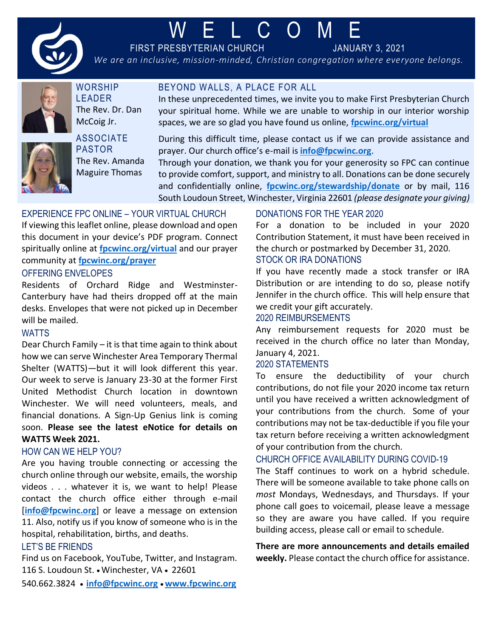

# E L C O M

FIRST PRESBYTERIAN CHURCH JANUARY 3, 2021

*We are an inclusive, mission-minded, Christian congregation where everyone belongs.*



**WORSHIP** LEADER The Rev. Dr. Dan McCoig Jr.



ASSOCIATE PASTOR The Rev. Amanda Maguire Thomas

BEYOND WALLS, A PLACE FOR ALL

In these unprecedented times, we invite you to make First Presbyterian Church your spiritual home. While we are unable to worship in our interior worship spaces, we are so glad you have found us online, **[fpcwinc.org/virtual](https://www.fpcwinc.org/virtual)**

During this difficult time, please contact us if we can provide assistance and prayer. Our church office's e-mail is **[info@fpcwinc.org](mailto:info@fpcwinc.org)**.

Through your donation, we thank you for your generosity so FPC can continue to provide comfort, support, and ministry to all. Donations can be done securely and confidentially online, **[fpcwinc.org/stewardship/donate](https://www.fpcwinc.org/stewardship/donate)** or by mail, 116 South Loudoun Street, Winchester, Virginia 22601 *(please designate your giving)*

## EXPERIENCE FPC ONLINE – YOUR VIRTUAL CHURCH

If viewing this leaflet online, please download and open this document in your device's PDF program. Connect spiritually online at **[fpcwinc.org/virtual](https://www.fpcwinc.org/virtual)** and our prayer community at **[fpcwinc.org/prayer](https://fpcwinc.org/ministries/prayer/)**

## OFFERING ENVELOPES

Residents of Orchard Ridge and Westminster-Canterbury have had theirs dropped off at the main desks. Envelopes that were not picked up in December will be mailed.

## **WATTS**

Dear Church Family – it is that time again to think about how we can serve Winchester Area Temporary Thermal Shelter (WATTS)—but it will look different this year. Our week to serve is January 23-30 at the former First United Methodist Church location in downtown Winchester. We will need volunteers, meals, and financial donations. A Sign-Up Genius link is coming soon. **Please see the latest eNotice for details on WATTS Week 2021.**

## HOW CAN WE HELP YOU?

Are you having trouble connecting or accessing the church online through our website, emails, the worship videos . . . whatever it is, we want to help! Please contact the church office either through e-mail [[info@fpcwinc.org](mailto:info@fpcwinc.org)] or leave a message on extension 11. Also, notify us if you know of someone who is in the hospital, rehabilitation, births, and deaths.

## LET'S BE FRIENDS

Find us on Facebook, YouTube, Twitter, and Instagram. 116 S. Loudoun St. • Winchester, VA • 22601

540.662.3824 • **[info@fpcwinc.org](mailto:info@fpcwinc.org)** • **[www.fpcwinc.org](http://www.fpcwinc.org/)**

## DONATIONS FOR THE YEAR 2020

For a donation to be included in your 2020 Contribution Statement, it must have been received in the church or postmarked by December 31, 2020. STOCK OR IRA DONATIONS

If you have recently made a stock transfer or IRA Distribution or are intending to do so, please notify Jennifer in the church office. This will help ensure that we credit your gift accurately.

## 2020 REIMBURSEMENTS

Any reimbursement requests for 2020 must be received in the church office no later than Monday, January 4, 2021.

## 2020 STATEMENTS

To ensure the deductibility of your church contributions, do not file your 2020 income tax return until you have received a written acknowledgment of your contributions from the church. Some of your contributions may not be tax-deductible if you file your tax return before receiving a written acknowledgment of your contribution from the church.

## CHURCH OFFICE AVAILABILITY DURING COVID-19

The Staff continues to work on a hybrid schedule. There will be someone available to take phone calls on *most* Mondays, Wednesdays, and Thursdays. If your phone call goes to voicemail, please leave a message so they are aware you have called. If you require building access, please call or email to schedule.

**There are more announcements and details emailed weekly.** Please contact the church office for assistance.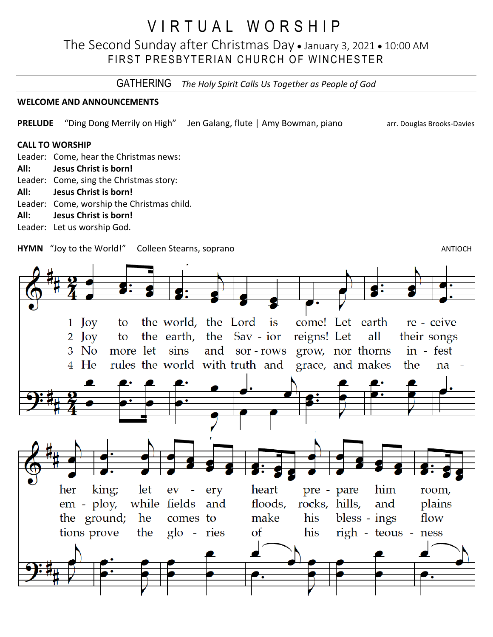## V I R T U A L W O R S H I P

## The Second Sunday after Christmas Day • January 3, 2021 • 10:00 AM FIRST PRESBYTERIAN CHURCH OF WINCHESTER

## GATHERING *The Holy Spirit Calls Us Together as People of God*

## **WELCOME AND ANNOUNCEMENTS**

**PRELUDE** "Ding Dong Merrily on High" Jen Galang, flute | Amy Bowman, piano arr. Douglas Brooks-Davies

## **CALL TO WORSHIP**

Leader: Come, hear the Christmas news:

- **All: Jesus Christ is born!**
- Leader: Come, sing the Christmas story:

## **All: Jesus Christ is born!**

- Leader: Come, worship the Christmas child.
- **All: Jesus Christ is born!**
- Leader: Let us worship God.



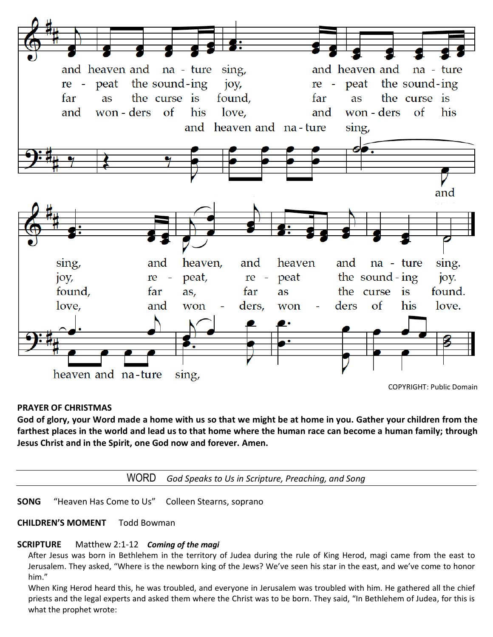

#### **PRAYER OF CHRISTMAS**

**God of glory, your Word made a home with us so that we might be at home in you. Gather your children from the farthest places in the world and lead us to that home where the human race can become a human family; through Jesus Christ and in the Spirit, one God now and forever. Amen.**

WORD *God Speaks to Us in Scripture, Preaching, and Song*

**SONG** "Heaven Has Come to Us" Colleen Stearns, soprano

#### **CHILDREN'S MOMENT** Todd Bowman

#### **SCRIPTURE** Matthew 2:1-12 *Coming of the magi*

After Jesus was born in Bethlehem in the territory of Judea during the rule of King Herod, magi came from the east to Jerusalem. They asked, "Where is the newborn king of the Jews? We've seen his star in the east, and we've come to honor him."

When King Herod heard this, he was troubled, and everyone in Jerusalem was troubled with him. He gathered all the chief priests and the legal experts and asked them where the Christ was to be born. They said, "In Bethlehem of Judea, for this is what the prophet wrote: